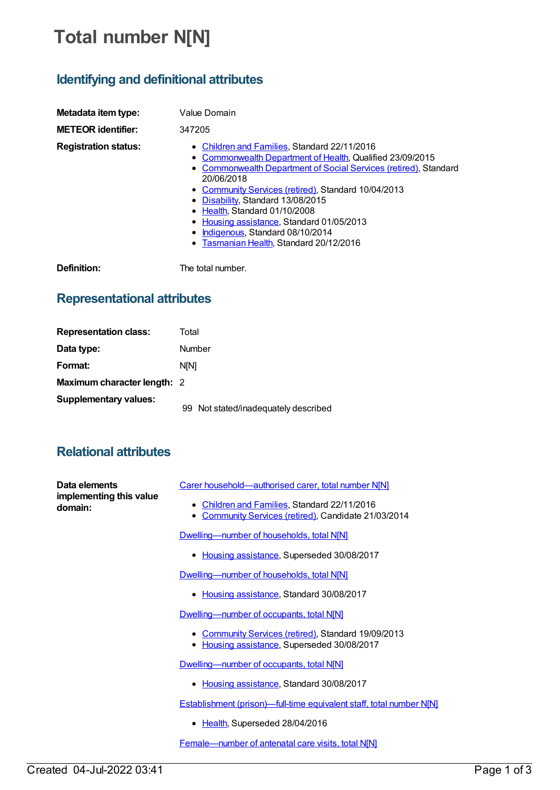# **Total number N[N]**

## **Identifying and definitional attributes**

| Metadata item type:<br><b>METEOR identifier:</b> | Value Domain<br>347205                                                                                                                                                                                                                                                                                                                                                                                                                            |
|--------------------------------------------------|---------------------------------------------------------------------------------------------------------------------------------------------------------------------------------------------------------------------------------------------------------------------------------------------------------------------------------------------------------------------------------------------------------------------------------------------------|
| <b>Registration status:</b>                      | • Children and Families, Standard 22/11/2016<br>Commonwealth Department of Health, Qualified 23/09/2015<br>• Commonwealth Department of Social Services (retired), Standard<br>20/06/2018<br>• Community Services (retired), Standard 10/04/2013<br>• Disability, Standard 13/08/2015<br>• Health, Standard 01/10/2008<br>• Housing assistance, Standard 01/05/2013<br>Indigenous, Standard 08/10/2014<br>• Tasmanian Health, Standard 20/12/2016 |
| Definition:                                      | The total number.                                                                                                                                                                                                                                                                                                                                                                                                                                 |

## **Representational attributes**

| <b>Representation class:</b>       | Total                                |
|------------------------------------|--------------------------------------|
| Data type:                         | Number                               |
| Format:                            | <b>NIN1</b>                          |
| <b>Maximum character length: 2</b> |                                      |
| <b>Supplementary values:</b>       | 99 Not stated/inadequately described |

#### **Relational attributes**

| Data elements<br>implementing this value<br>domain: | Carer household-authorised carer, total number NIN]                                                                |
|-----------------------------------------------------|--------------------------------------------------------------------------------------------------------------------|
|                                                     | Children and Families, Standard 22/11/2016<br>٠<br>Community Services (retired), Candidate 21/03/2014<br>$\bullet$ |
|                                                     | Dwelling-number of households, total N[N]                                                                          |
|                                                     | • Housing assistance, Superseded 30/08/2017                                                                        |
|                                                     | Dwelling-number of households, total N[N]                                                                          |
|                                                     | Housing assistance, Standard 30/08/2017                                                                            |
|                                                     | Dwelling-number of occupants, total N[N]                                                                           |
|                                                     | <b>Community Services (retired), Standard 19/09/2013</b><br>Housing assistance, Superseded 30/08/2017              |
|                                                     | Dwelling-number of occupants, total N[N]                                                                           |
|                                                     | • Housing assistance, Standard 30/08/2017                                                                          |
|                                                     | <b>Establishment (prison)—full-time equivalent staff, total number N[N]</b>                                        |
|                                                     | • Health, Superseded 28/04/2016                                                                                    |

[Female—number](https://meteor.aihw.gov.au/content/669982) of antenatal care visits, total N[N]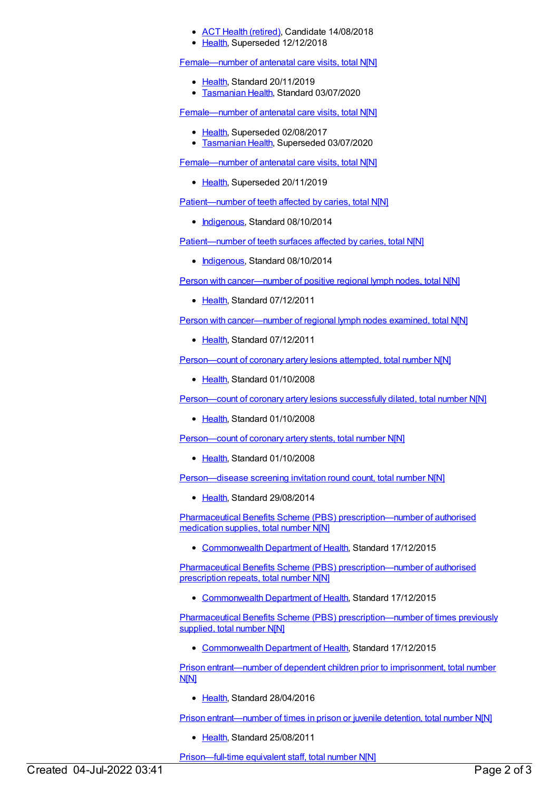#### ACT Health [\(retired\)](https://meteor.aihw.gov.au/RegistrationAuthority/9), Candidate 14/08/2018

[Health](https://meteor.aihw.gov.au/RegistrationAuthority/12), Superseded 12/12/2018

[Female—number](https://meteor.aihw.gov.au/content/717735) of antenatal care visits, total N[N]

- [Health](https://meteor.aihw.gov.au/RegistrationAuthority/12), Standard 20/11/2019
- [Tasmanian](https://meteor.aihw.gov.au/RegistrationAuthority/15) Health, Standard 03/07/2020

[Female—number](https://meteor.aihw.gov.au/content/423828) of antenatal care visits, total N[N]

- [Health](https://meteor.aihw.gov.au/RegistrationAuthority/12), Superseded 02/08/2017
- [Tasmanian](https://meteor.aihw.gov.au/RegistrationAuthority/15) Health, Superseded 03/07/2020

[Female—number](https://meteor.aihw.gov.au/content/695227) of antenatal care visits, total N[N]

• [Health](https://meteor.aihw.gov.au/RegistrationAuthority/12), Superseded 20/11/2019

[Patient—number](https://meteor.aihw.gov.au/content/500127) of teeth affected by caries, total N[N]

• [Indigenous](https://meteor.aihw.gov.au/RegistrationAuthority/6), Standard 08/10/2014

[Patient—number](https://meteor.aihw.gov.au/content/500164) of teeth surfaces affected by caries, total N[N]

• [Indigenous](https://meteor.aihw.gov.au/RegistrationAuthority/6), Standard 08/10/2014

Person with [cancer—number](https://meteor.aihw.gov.au/content/415959) of positive regional lymph nodes, total N[N]

• [Health](https://meteor.aihw.gov.au/RegistrationAuthority/12), Standard 07/12/2011

Person with [cancer—number](https://meteor.aihw.gov.au/content/415971) of regional lymph nodes examined, total N[N]

• [Health](https://meteor.aihw.gov.au/RegistrationAuthority/12), Standard 07/12/2011

[Person—count](https://meteor.aihw.gov.au/content/344404) of coronary artery lesions attempted, total number N[N]

• [Health](https://meteor.aihw.gov.au/RegistrationAuthority/12), Standard 01/10/2008

[Person—count](https://meteor.aihw.gov.au/content/344411) of coronary artery lesions successfully dilated, total number N[N]

• [Health](https://meteor.aihw.gov.au/RegistrationAuthority/12), Standard 01/10/2008

[Person—count](https://meteor.aihw.gov.au/content/344417) of coronary artery stents, total number N[N]

• [Health](https://meteor.aihw.gov.au/RegistrationAuthority/12), Standard 01/10/2008

Person-disease screening invitation round count, total number N[N]

• [Health](https://meteor.aihw.gov.au/RegistrationAuthority/12), Standard 29/08/2014

Pharmaceutical Benefits Scheme (PBS) [prescription—number](https://meteor.aihw.gov.au/content/605072) of authorised medication supplies, total number N[N]

[Commonwealth](https://meteor.aihw.gov.au/RegistrationAuthority/10) Department of Health, Standard 17/12/2015

Pharmaceutical Benefits Scheme (PBS) [prescription—number](https://meteor.aihw.gov.au/content/603919) of authorised prescription repeats, total number N[N]

[Commonwealth](https://meteor.aihw.gov.au/RegistrationAuthority/10) Department of Health, Standard 17/12/2015

Pharmaceutical Benefits Scheme (PBS) [prescription—number](https://meteor.aihw.gov.au/content/603916) of times previously supplied, total number N[N]

• [Commonwealth](https://meteor.aihw.gov.au/RegistrationAuthority/10) Department of Health, Standard 17/12/2015

Prison [entrant—number](https://meteor.aihw.gov.au/content/482425) of dependent children prior to imprisonment, total number N[N]

• [Health](https://meteor.aihw.gov.au/RegistrationAuthority/12), Standard 28/04/2016

Prison [entrant—number](https://meteor.aihw.gov.au/content/399014) of times in prison or juvenile detention, total number N[N]

• [Health](https://meteor.aihw.gov.au/RegistrationAuthority/12), Standard 25/08/2011

[Prison—full-time](https://meteor.aihw.gov.au/content/626235) equivalent staff, total number N[N]